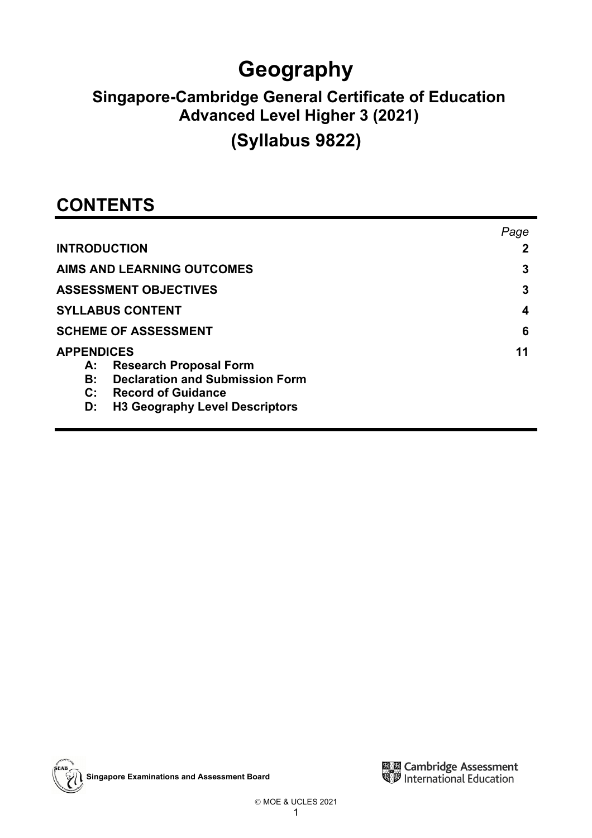# **Geography**

# **Singapore-Cambridge General Certificate of Education Advanced Level Higher 3 (2021)**

# **(Syllabus 9822)**

# **CONTENTS**

|                                                     | Page |
|-----------------------------------------------------|------|
| <b>INTRODUCTION</b>                                 |      |
| <b>AIMS AND LEARNING OUTCOMES</b>                   | 3    |
| <b>ASSESSMENT OBJECTIVES</b>                        | 3    |
| <b>SYLLABUS CONTENT</b>                             | 4    |
| <b>SCHEME OF ASSESSMENT</b>                         | 6    |
| <b>APPENDICES</b>                                   | 11   |
| <b>Research Proposal Form</b><br>А:                 |      |
| <b>Declaration and Submission Form</b><br><b>B:</b> |      |
| C: Record of Guidance                               |      |
| <b>H3 Geography Level Descriptors</b><br>D:         |      |



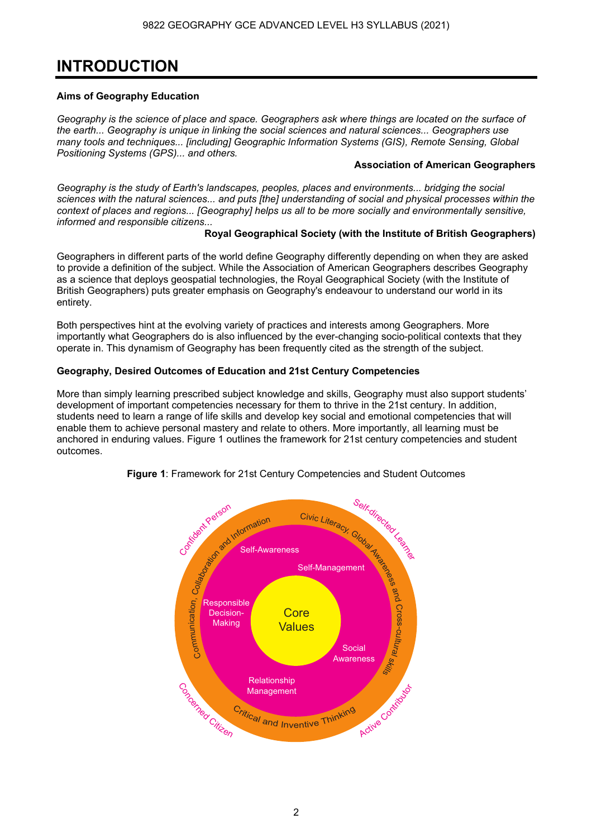# **INTRODUCTION**

### **Aims of Geography Education**

*Geography is the science of place and space. Geographers ask where things are located on the surface of the earth... Geography is unique in linking the social sciences and natural sciences... Geographers use many tools and techniques... [including] Geographic Information Systems (GIS), Remote Sensing, Global Positioning Systems (GPS)... and others.* 

#### **Association of American Geographers**

*Geography is the study of Earth's landscapes, peoples, places and environments... bridging the social sciences with the natural sciences... and puts [the] understanding of social and physical processes within the context of places and regions... [Geography] helps us all to be more socially and environmentally sensitive, informed and responsible citizens...* 

### **Royal Geographical Society (with the Institute of British Geographers)**

Geographers in different parts of the world define Geography differently depending on when they are asked to provide a definition of the subject. While the Association of American Geographers describes Geography as a science that deploys geospatial technologies, the Royal Geographical Society (with the Institute of British Geographers) puts greater emphasis on Geography's endeavour to understand our world in its entirety.

Both perspectives hint at the evolving variety of practices and interests among Geographers. More importantly what Geographers do is also influenced by the ever-changing socio-political contexts that they operate in. This dynamism of Geography has been frequently cited as the strength of the subject.

### **Geography, Desired Outcomes of Education and 21st Century Competencies**

More than simply learning prescribed subject knowledge and skills, Geography must also support students' development of important competencies necessary for them to thrive in the 21st century. In addition, students need to learn a range of life skills and develop key social and emotional competencies that will enable them to achieve personal mastery and relate to others. More importantly, all learning must be anchored in enduring values. Figure 1 outlines the framework for 21st century competencies and student outcomes.



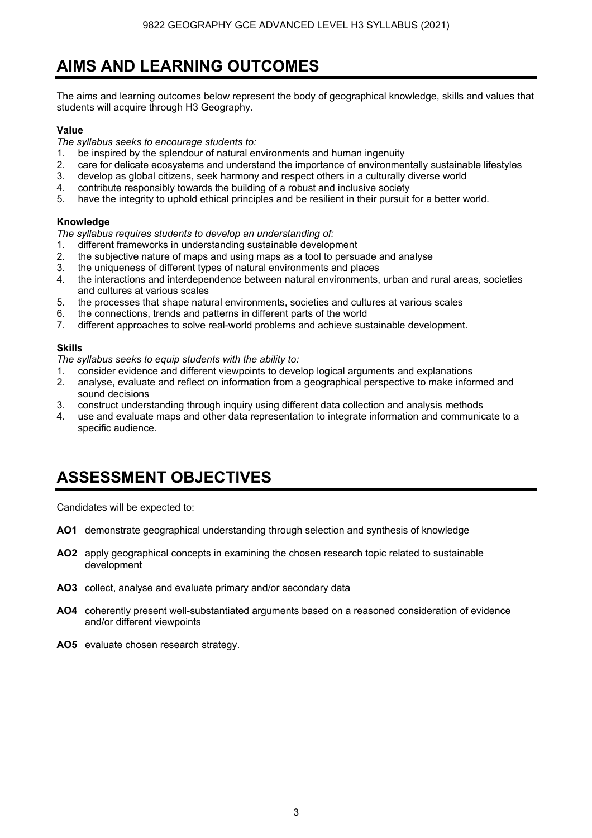# **AIMS AND LEARNING OUTCOMES**

The aims and learning outcomes below represent the body of geographical knowledge, skills and values that students will acquire through H3 Geography.

#### **Value**

*The syllabus seeks to encourage students to:* 

- 1. be inspired by the splendour of natural environments and human ingenuity
- 2. care for delicate ecosystems and understand the importance of environmentally sustainable lifestyles
- 3. develop as global citizens, seek harmony and respect others in a culturally diverse world
- 4. contribute responsibly towards the building of a robust and inclusive society
- 5. have the integrity to uphold ethical principles and be resilient in their pursuit for a better world.

#### **Knowledge**

*The syllabus requires students to develop an understanding of:* 

- 1. different frameworks in understanding sustainable development
- 2. the subjective nature of maps and using maps as a tool to persuade and analyse
- 3. the uniqueness of different types of natural environments and places
- 4. the interactions and interdependence between natural environments, urban and rural areas, societies and cultures at various scales
- 5. the processes that shape natural environments, societies and cultures at various scales
- 6. the connections, trends and patterns in different parts of the world
- 7. different approaches to solve real-world problems and achieve sustainable development.

#### **Skills**

*The syllabus seeks to equip students with the ability to:* 

- 1. consider evidence and different viewpoints to develop logical arguments and explanations
- 2. analyse, evaluate and reflect on information from a geographical perspective to make informed and sound decisions
- 3. construct understanding through inquiry using different data collection and analysis methods
- 4. use and evaluate maps and other data representation to integrate information and communicate to a specific audience.

# **ASSESSMENT OBJECTIVES**

Candidates will be expected to:

- **AO1** demonstrate geographical understanding through selection and synthesis of knowledge
- **AO2** apply geographical concepts in examining the chosen research topic related to sustainable development
- **AO3** collect, analyse and evaluate primary and/or secondary data
- **AO4** coherently present well-substantiated arguments based on a reasoned consideration of evidence and/or different viewpoints
- **AO5** evaluate chosen research strategy.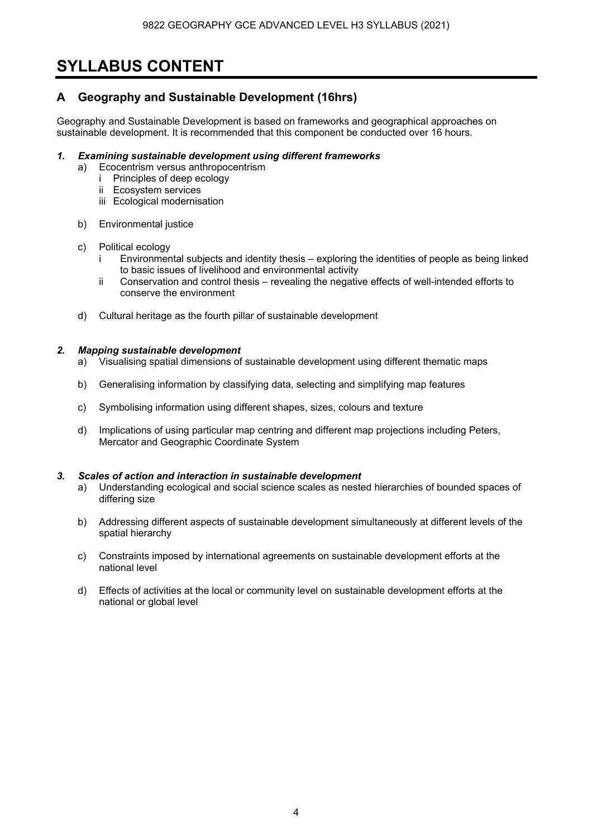# **SYLLABUS CONTENT**

### **A Geography and Sustainable Development (16hrs)**

Geography and Sustainable Development is based on frameworks and geographical approaches on sustainable development. It is recommended that this component be conducted over 16 hours.

#### *1. Examining sustainable development using different frameworks*

- a) Ecocentrism versus anthropocentrism
	- i Principles of deep ecology
	- ii Ecosystem services
	- iii Ecological modernisation
- b) Environmental justice

#### c) Political ecology

- i Environmental subjects and identity thesis exploring the identities of people as being linked to basic issues of livelihood and environmental activity
- ii Conservation and control thesis revealing the negative effects of well-intended efforts to conserve the environment
- d) Cultural heritage as the fourth pillar of sustainable development

#### *2. Mapping sustainable development*

- a) Visualising spatial dimensions of sustainable development using different thematic maps
- b) Generalising information by classifying data, selecting and simplifying map features
- c) Symbolising information using different shapes, sizes, colours and texture
- d) Implications of using particular map centring and different map projections including Peters, Mercator and Geographic Coordinate System

#### *3. Scales of action and interaction in sustainable development*

- a) Understanding ecological and social science scales as nested hierarchies of bounded spaces of differing size
- b) Addressing different aspects of sustainable development simultaneously at different levels of the spatial hierarchy
- c) Constraints imposed by international agreements on sustainable development efforts at the national level
- d) Effects of activities at the local or community level on sustainable development efforts at the national or global level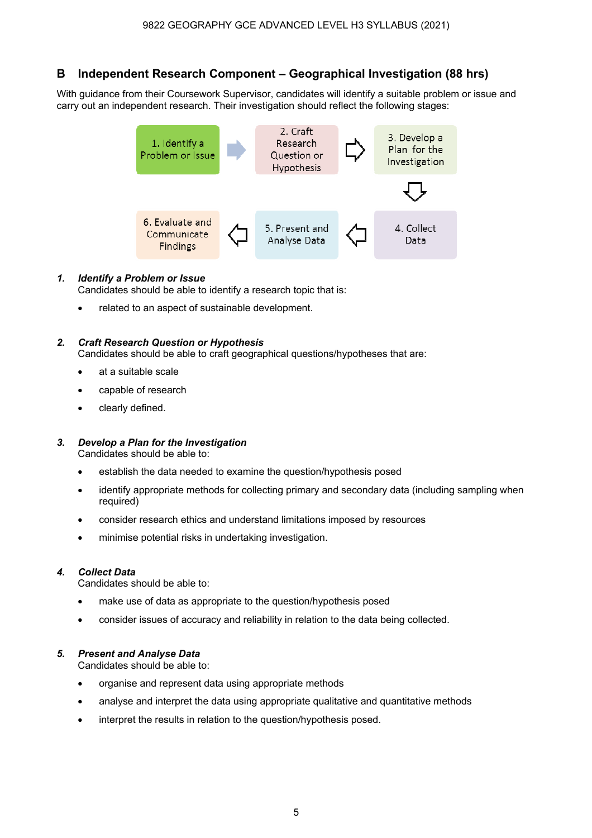## **B Independent Research Component – Geographical Investigation (88 hrs)**

With guidance from their Coursework Supervisor, candidates will identify a suitable problem or issue and carry out an independent research. Their investigation should reflect the following stages:



#### *1. Identify a Problem or Issue*

Candidates should be able to identify a research topic that is:

• related to an aspect of sustainable development.

#### *2. Craft Research Question or Hypothesis*

Candidates should be able to craft geographical questions/hypotheses that are:

- at a suitable scale
- capable of research
- clearly defined.

### *3. Develop a Plan for the Investigation*

Candidates should be able to:

- establish the data needed to examine the question/hypothesis posed
- identify appropriate methods for collecting primary and secondary data (including sampling when required)
- consider research ethics and understand limitations imposed by resources
- minimise potential risks in undertaking investigation.

#### *4. Collect Data*

Candidates should be able to:

- make use of data as appropriate to the question/hypothesis posed
- consider issues of accuracy and reliability in relation to the data being collected.

#### *5. Present and Analyse Data*

Candidates should be able to:

- organise and represent data using appropriate methods
- analyse and interpret the data using appropriate qualitative and quantitative methods
- interpret the results in relation to the question/hypothesis posed.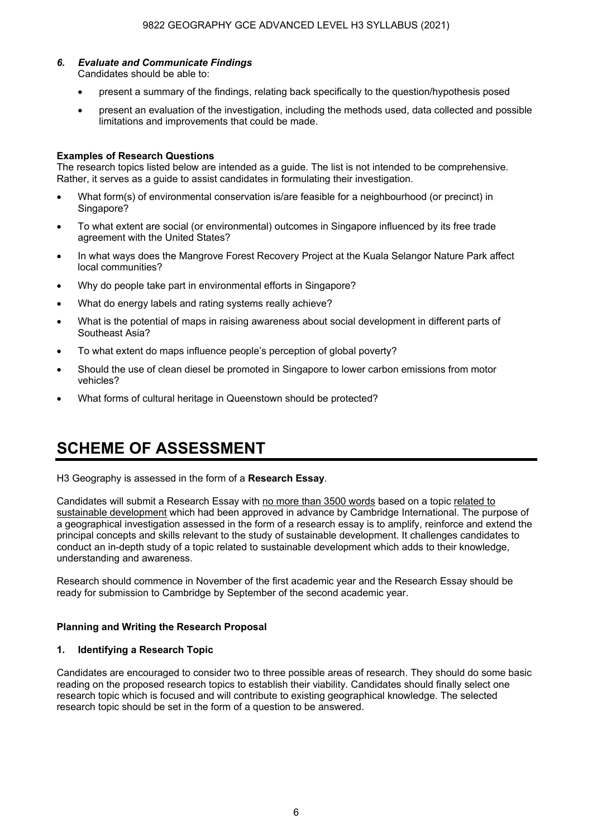# *6. Evaluate and Communicate Findings*

Candidates should be able to:

- present a summary of the findings, relating back specifically to the question/hypothesis posed
- present an evaluation of the investigation, including the methods used, data collected and possible limitations and improvements that could be made.

#### **Examples of Research Questions**

The research topics listed below are intended as a guide. The list is not intended to be comprehensive. Rather, it serves as a guide to assist candidates in formulating their investigation.

- What form(s) of environmental conservation is/are feasible for a neighbourhood (or precinct) in Singapore?
- To what extent are social (or environmental) outcomes in Singapore influenced by its free trade agreement with the United States?
- In what ways does the Mangrove Forest Recovery Project at the Kuala Selangor Nature Park affect local communities?
- Why do people take part in environmental efforts in Singapore?
- What do energy labels and rating systems really achieve?
- What is the potential of maps in raising awareness about social development in different parts of Southeast Asia?
- To what extent do maps influence people's perception of global poverty?
- Should the use of clean diesel be promoted in Singapore to lower carbon emissions from motor vehicles?
- What forms of cultural heritage in Queenstown should be protected?

# **SCHEME OF ASSESSMENT**

H3 Geography is assessed in the form of a **Research Essay**.

Candidates will submit a Research Essay with no more than 3500 words based on a topic related to sustainable development which had been approved in advance by Cambridge International. The purpose of a geographical investigation assessed in the form of a research essay is to amplify, reinforce and extend the principal concepts and skills relevant to the study of sustainable development. It challenges candidates to conduct an in-depth study of a topic related to sustainable development which adds to their knowledge, understanding and awareness.

Research should commence in November of the first academic year and the Research Essay should be ready for submission to Cambridge by September of the second academic year.

#### **Planning and Writing the Research Proposal**

#### **1. Identifying a Research Topic**

Candidates are encouraged to consider two to three possible areas of research. They should do some basic reading on the proposed research topics to establish their viability. Candidates should finally select one research topic which is focused and will contribute to existing geographical knowledge. The selected research topic should be set in the form of a question to be answered.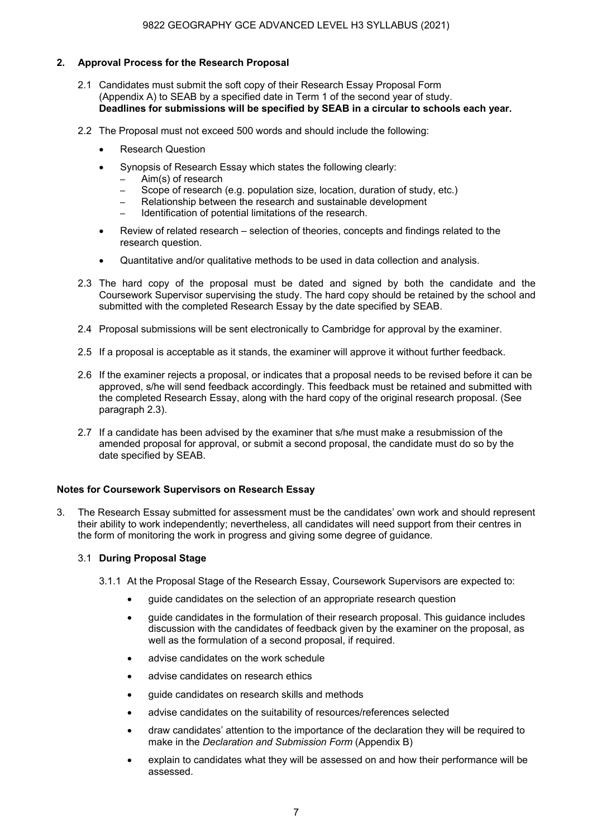#### **2. Approval Process for the Research Proposal**

- 2.1 Candidates must submit the soft copy of their Research Essay Proposal Form (Appendix A) to SEAB by a specified date in Term 1 of the second year of study.  **Deadlines for submissions will be specified by SEAB in a circular to schools each year.**
- 2.2 The Proposal must not exceed 500 words and should include the following:
	- Research Question
	- Synopsis of Research Essay which states the following clearly:
		- Aim(s) of research
		- Scope of research (e.g. population size, location, duration of study, etc.)
		- Relationship between the research and sustainable development
		- Identification of potential limitations of the research.
	- Review of related research selection of theories, concepts and findings related to the research question.
	- Quantitative and/or qualitative methods to be used in data collection and analysis.
- 2.3 The hard copy of the proposal must be dated and signed by both the candidate and the Coursework Supervisor supervising the study. The hard copy should be retained by the school and submitted with the completed Research Essay by the date specified by SEAB.
- 2.4 Proposal submissions will be sent electronically to Cambridge for approval by the examiner.
- 2.5 If a proposal is acceptable as it stands, the examiner will approve it without further feedback.
- 2.6 If the examiner rejects a proposal, or indicates that a proposal needs to be revised before it can be approved, s/he will send feedback accordingly. This feedback must be retained and submitted with the completed Research Essay, along with the hard copy of the original research proposal. (See paragraph 2.3).
- 2.7 If a candidate has been advised by the examiner that s/he must make a resubmission of the amended proposal for approval, or submit a second proposal, the candidate must do so by the date specified by SEAB.

#### **Notes for Coursework Supervisors on Research Essay**

3. The Research Essay submitted for assessment must be the candidates' own work and should represent their ability to work independently; nevertheless, all candidates will need support from their centres in the form of monitoring the work in progress and giving some degree of guidance.

#### 3.1 **During Proposal Stage**

- 3.1.1 At the Proposal Stage of the Research Essay, Coursework Supervisors are expected to:
	- guide candidates on the selection of an appropriate research question
	- guide candidates in the formulation of their research proposal. This guidance includes discussion with the candidates of feedback given by the examiner on the proposal, as well as the formulation of a second proposal, if required.
	- advise candidates on the work schedule
	- advise candidates on research ethics
	- guide candidates on research skills and methods
	- advise candidates on the suitability of resources/references selected
	- draw candidates' attention to the importance of the declaration they will be required to make in the *Declaration and Submission Form* (Appendix B)
	- explain to candidates what they will be assessed on and how their performance will be assessed.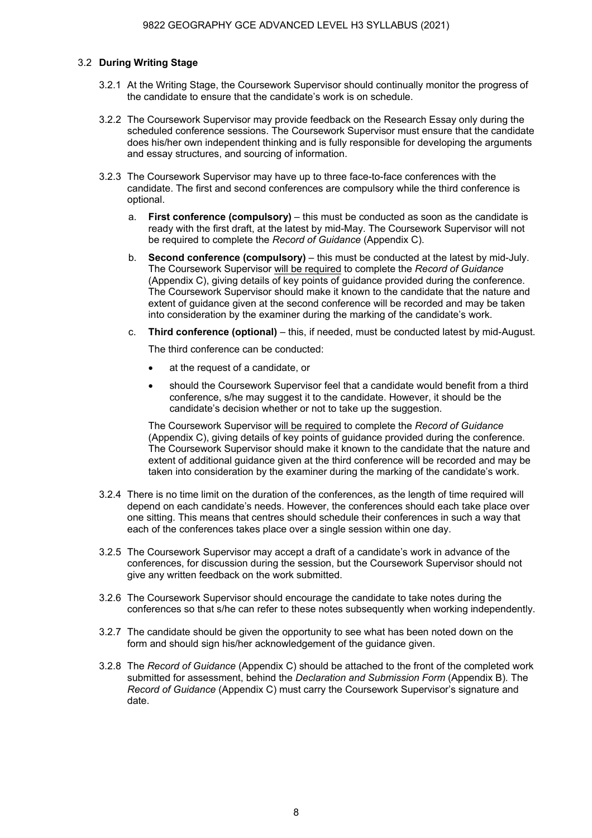#### 3.2 **During Writing Stage**

- 3.2.1 At the Writing Stage, the Coursework Supervisor should continually monitor the progress of the candidate to ensure that the candidate's work is on schedule.
- 3.2.2 The Coursework Supervisor may provide feedback on the Research Essay only during the scheduled conference sessions. The Coursework Supervisor must ensure that the candidate does his/her own independent thinking and is fully responsible for developing the arguments and essay structures, and sourcing of information.
- 3.2.3 The Coursework Supervisor may have up to three face-to-face conferences with the candidate. The first and second conferences are compulsory while the third conference is optional.
	- a. **First conference (compulsory)** this must be conducted as soon as the candidate is ready with the first draft, at the latest by mid-May. The Coursework Supervisor will not be required to complete the *Record of Guidance* (Appendix C).
	- b. **Second conference (compulsory)** this must be conducted at the latest by mid-July. The Coursework Supervisor will be required to complete the *Record of Guidance* (Appendix C), giving details of key points of guidance provided during the conference. The Coursework Supervisor should make it known to the candidate that the nature and extent of guidance given at the second conference will be recorded and may be taken into consideration by the examiner during the marking of the candidate's work.
	- c. **Third conference (optional)** this, if needed, must be conducted latest by mid-August.

The third conference can be conducted:

- at the request of a candidate, or
- should the Coursework Supervisor feel that a candidate would benefit from a third conference, s/he may suggest it to the candidate. However, it should be the candidate's decision whether or not to take up the suggestion.

The Coursework Supervisor will be required to complete the *Record of Guidance* (Appendix C), giving details of key points of guidance provided during the conference. The Coursework Supervisor should make it known to the candidate that the nature and extent of additional guidance given at the third conference will be recorded and may be taken into consideration by the examiner during the marking of the candidate's work.

- 3.2.4 There is no time limit on the duration of the conferences, as the length of time required will depend on each candidate's needs. However, the conferences should each take place over one sitting. This means that centres should schedule their conferences in such a way that each of the conferences takes place over a single session within one day.
- 3.2.5 The Coursework Supervisor may accept a draft of a candidate's work in advance of the conferences, for discussion during the session, but the Coursework Supervisor should not give any written feedback on the work submitted.
- 3.2.6 The Coursework Supervisor should encourage the candidate to take notes during the conferences so that s/he can refer to these notes subsequently when working independently.
- 3.2.7 The candidate should be given the opportunity to see what has been noted down on the form and should sign his/her acknowledgement of the guidance given.
- 3.2.8 The *Record of Guidance* (Appendix C) should be attached to the front of the completed work submitted for assessment, behind the *Declaration and Submission Form* (Appendix B)*.* The *Record of Guidance* (Appendix C) must carry the Coursework Supervisor's signature and date.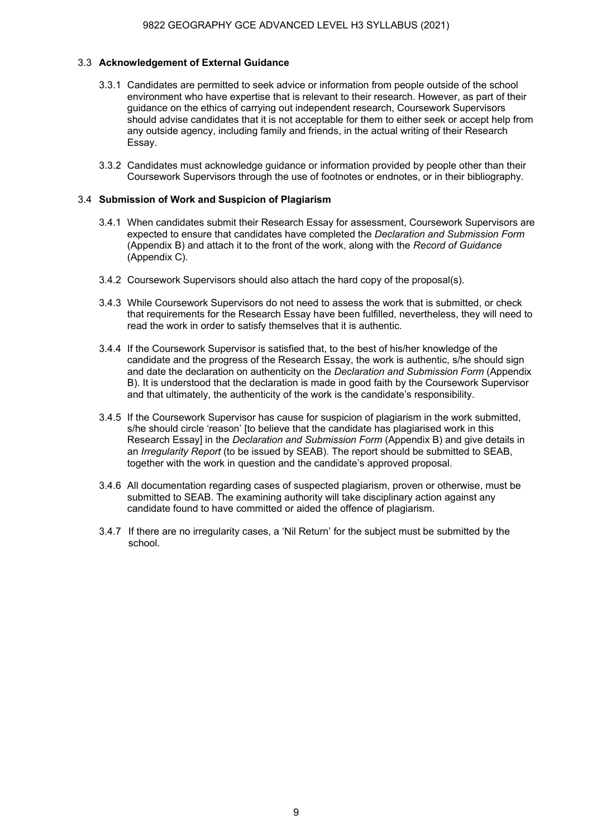#### 3.3 **Acknowledgement of External Guidance**

- 3.3.1 Candidates are permitted to seek advice or information from people outside of the school environment who have expertise that is relevant to their research. However, as part of their guidance on the ethics of carrying out independent research, Coursework Supervisors should advise candidates that it is not acceptable for them to either seek or accept help from any outside agency, including family and friends, in the actual writing of their Research Essay.
- 3.3.2 Candidates must acknowledge guidance or information provided by people other than their Coursework Supervisors through the use of footnotes or endnotes, or in their bibliography.

#### 3.4 **Submission of Work and Suspicion of Plagiarism**

- 3.4.1 When candidates submit their Research Essay for assessment, Coursework Supervisors are expected to ensure that candidates have completed the *Declaration and Submission Form* (Appendix B) and attach it to the front of the work, along with the *Record of Guidance*  (Appendix C).
- 3.4.2 Coursework Supervisors should also attach the hard copy of the proposal(s).
- 3.4.3 While Coursework Supervisors do not need to assess the work that is submitted, or check that requirements for the Research Essay have been fulfilled, nevertheless, they will need to read the work in order to satisfy themselves that it is authentic.
- 3.4.4 If the Coursework Supervisor is satisfied that, to the best of his/her knowledge of the candidate and the progress of the Research Essay, the work is authentic, s/he should sign and date the declaration on authenticity on the *Declaration and Submission Form* (Appendix B). It is understood that the declaration is made in good faith by the Coursework Supervisor and that ultimately, the authenticity of the work is the candidate's responsibility.
- 3.4.5 If the Coursework Supervisor has cause for suspicion of plagiarism in the work submitted, s/he should circle 'reason' [to believe that the candidate has plagiarised work in this Research Essay] in the *Declaration and Submission Form* (Appendix B) and give details in an *Irregularity Report* (to be issued by SEAB). The report should be submitted to SEAB, together with the work in question and the candidate's approved proposal.
- 3.4.6 All documentation regarding cases of suspected plagiarism, proven or otherwise, must be submitted to SEAB. The examining authority will take disciplinary action against any candidate found to have committed or aided the offence of plagiarism.
- 3.4.7 If there are no irregularity cases, a 'Nil Return' for the subject must be submitted by the school.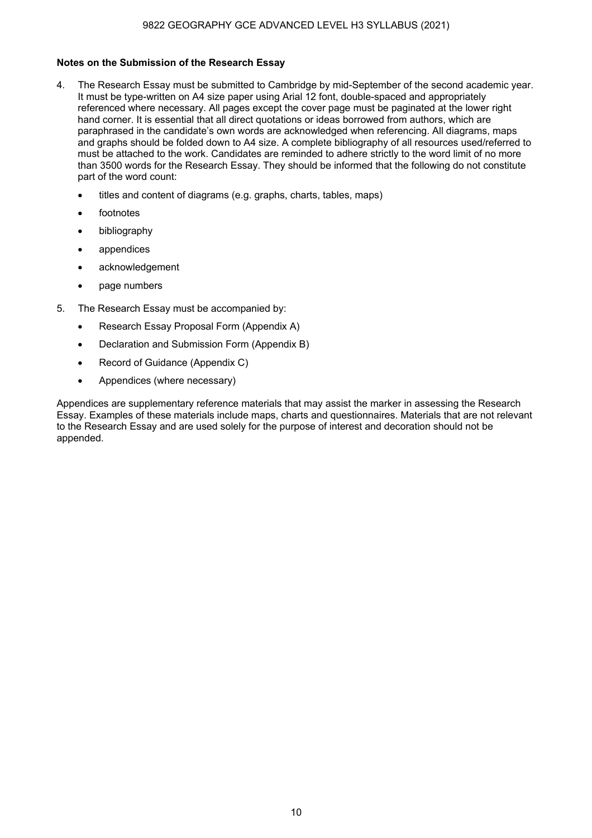#### **Notes on the Submission of the Research Essay**

- 4. The Research Essay must be submitted to Cambridge by mid-September of the second academic year. It must be type-written on A4 size paper using Arial 12 font, double-spaced and appropriately referenced where necessary. All pages except the cover page must be paginated at the lower right hand corner. It is essential that all direct quotations or ideas borrowed from authors, which are paraphrased in the candidate's own words are acknowledged when referencing. All diagrams, maps and graphs should be folded down to A4 size. A complete bibliography of all resources used/referred to must be attached to the work. Candidates are reminded to adhere strictly to the word limit of no more than 3500 words for the Research Essay. They should be informed that the following do not constitute part of the word count:
	- titles and content of diagrams (e.g. graphs, charts, tables, maps)
	- **footnotes**
	- bibliography
	- appendices
	- acknowledgement
	- page numbers
- 5. The Research Essay must be accompanied by:
	- Research Essay Proposal Form (Appendix A)
	- Declaration and Submission Form (Appendix B)
	- Record of Guidance (Appendix C)
	- Appendices (where necessary)

Appendices are supplementary reference materials that may assist the marker in assessing the Research Essay. Examples of these materials include maps, charts and questionnaires. Materials that are not relevant to the Research Essay and are used solely for the purpose of interest and decoration should not be appended.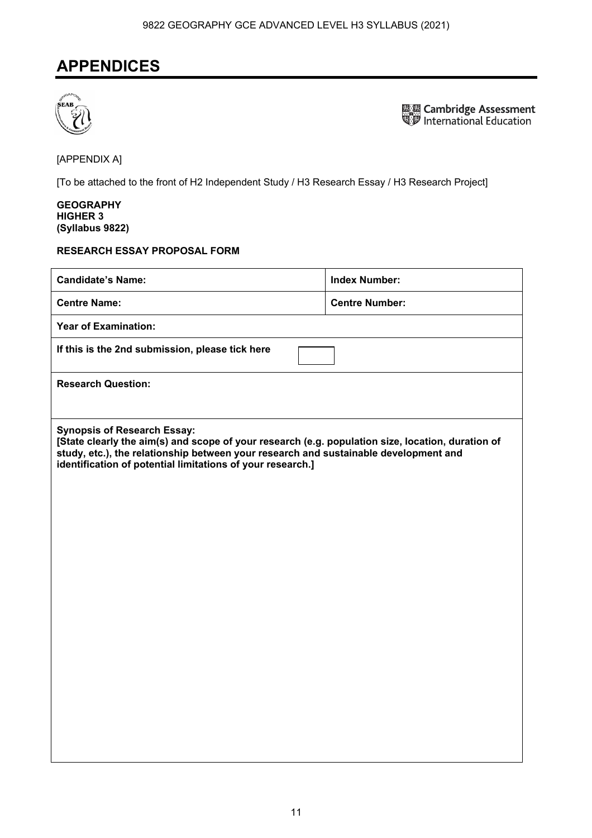## **APPENDICES**



**ELECTE Cambridge Assessment**<br>SUP International Education

[APPENDIX A]

[To be attached to the front of H2 Independent Study / H3 Research Essay / H3 Research Project]

#### **GEOGRAPHY HIGHER 3 (Syllabus 9822)**

#### **RESEARCH ESSAY PROPOSAL FORM**

| <b>Candidate's Name:</b>                                                                                                                                                                                                                                                                      | <b>Index Number:</b>  |  |  |
|-----------------------------------------------------------------------------------------------------------------------------------------------------------------------------------------------------------------------------------------------------------------------------------------------|-----------------------|--|--|
| <b>Centre Name:</b>                                                                                                                                                                                                                                                                           | <b>Centre Number:</b> |  |  |
| <b>Year of Examination:</b>                                                                                                                                                                                                                                                                   |                       |  |  |
| If this is the 2nd submission, please tick here                                                                                                                                                                                                                                               |                       |  |  |
| <b>Research Question:</b>                                                                                                                                                                                                                                                                     |                       |  |  |
|                                                                                                                                                                                                                                                                                               |                       |  |  |
| <b>Synopsis of Research Essay:</b><br>[State clearly the aim(s) and scope of your research (e.g. population size, location, duration of<br>study, etc.), the relationship between your research and sustainable development and<br>identification of potential limitations of your research.] |                       |  |  |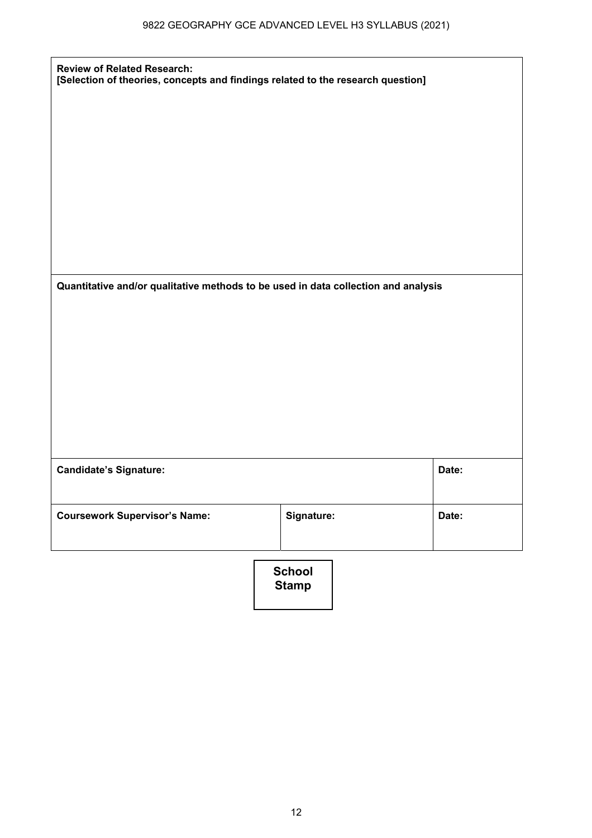| <b>Review of Related Research:</b><br>[Selection of theories, concepts and findings related to the research question] |               |       |
|-----------------------------------------------------------------------------------------------------------------------|---------------|-------|
|                                                                                                                       |               |       |
|                                                                                                                       |               |       |
|                                                                                                                       |               |       |
|                                                                                                                       |               |       |
|                                                                                                                       |               |       |
| Quantitative and/or qualitative methods to be used in data collection and analysis                                    |               |       |
|                                                                                                                       |               |       |
|                                                                                                                       |               |       |
|                                                                                                                       |               |       |
| <b>Candidate's Signature:</b>                                                                                         |               | Date: |
|                                                                                                                       |               |       |
| <b>Coursework Supervisor's Name:</b>                                                                                  | Signature:    | Date: |
|                                                                                                                       | <b>School</b> |       |

**Stamp**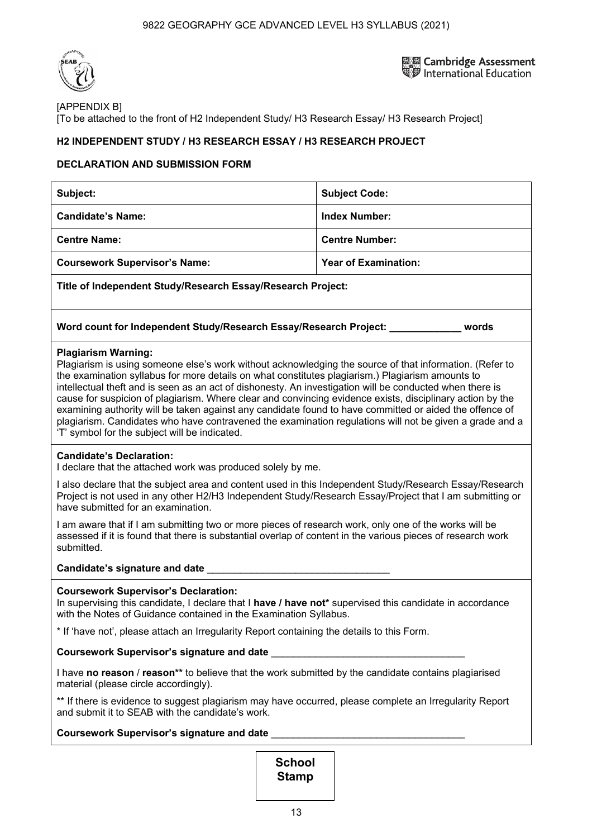

鳳凰 Cambridge Assessment<br>ND International Education

### [APPENDIX B]

[To be attached to the front of H2 Independent Study/ H3 Research Essay/ H3 Research Project]

### **H2 INDEPENDENT STUDY / H3 RESEARCH ESSAY / H3 RESEARCH PROJECT**

#### **DECLARATION AND SUBMISSION FORM**

| Subject:                                                                                                                                                                                                                                                                                                                                                                                                                                                                                                                                                                                                                                                                                                                                  | <b>Subject Code:</b>        |  |  |
|-------------------------------------------------------------------------------------------------------------------------------------------------------------------------------------------------------------------------------------------------------------------------------------------------------------------------------------------------------------------------------------------------------------------------------------------------------------------------------------------------------------------------------------------------------------------------------------------------------------------------------------------------------------------------------------------------------------------------------------------|-----------------------------|--|--|
| <b>Candidate's Name:</b>                                                                                                                                                                                                                                                                                                                                                                                                                                                                                                                                                                                                                                                                                                                  | <b>Index Number:</b>        |  |  |
| <b>Centre Name:</b>                                                                                                                                                                                                                                                                                                                                                                                                                                                                                                                                                                                                                                                                                                                       | <b>Centre Number:</b>       |  |  |
| <b>Coursework Supervisor's Name:</b>                                                                                                                                                                                                                                                                                                                                                                                                                                                                                                                                                                                                                                                                                                      | <b>Year of Examination:</b> |  |  |
| Title of Independent Study/Research Essay/Research Project:                                                                                                                                                                                                                                                                                                                                                                                                                                                                                                                                                                                                                                                                               |                             |  |  |
| Word count for Independent Study/Research Essay/Research Project: www.words                                                                                                                                                                                                                                                                                                                                                                                                                                                                                                                                                                                                                                                               |                             |  |  |
| <b>Plagiarism Warning:</b><br>Plagiarism is using someone else's work without acknowledging the source of that information. (Refer to<br>the examination syllabus for more details on what constitutes plagiarism.) Plagiarism amounts to<br>intellectual theft and is seen as an act of dishonesty. An investigation will be conducted when there is<br>cause for suspicion of plagiarism. Where clear and convincing evidence exists, disciplinary action by the<br>examining authority will be taken against any candidate found to have committed or aided the offence of<br>plagiarism. Candidates who have contravened the examination regulations will not be given a grade and a<br>'T' symbol for the subject will be indicated. |                             |  |  |
| <b>Candidate's Declaration:</b><br>I declare that the attached work was produced solely by me.                                                                                                                                                                                                                                                                                                                                                                                                                                                                                                                                                                                                                                            |                             |  |  |
| I also declare that the subject area and content used in this Independent Study/Research Essay/Research<br>Project is not used in any other H2/H3 Independent Study/Research Essay/Project that I am submitting or<br>have submitted for an examination.                                                                                                                                                                                                                                                                                                                                                                                                                                                                                  |                             |  |  |
| I am aware that if I am submitting two or more pieces of research work, only one of the works will be<br>assessed if it is found that there is substantial overlap of content in the various pieces of research work<br>submitted.                                                                                                                                                                                                                                                                                                                                                                                                                                                                                                        |                             |  |  |
| Candidate's signature and date <b>contract to the contract of the contract of the contract of the contract of the contract of the contract of the contract of the contract of the contract of the contract of the contract of th</b>                                                                                                                                                                                                                                                                                                                                                                                                                                                                                                      |                             |  |  |
| <b>Coursework Supervisor's Declaration:</b><br>In supervising this candidate, I declare that I have / have not* supervised this candidate in accordance<br>with the Notes of Guidance contained in the Examination Syllabus.                                                                                                                                                                                                                                                                                                                                                                                                                                                                                                              |                             |  |  |
| * If 'have not', please attach an Irregularity Report containing the details to this Form.                                                                                                                                                                                                                                                                                                                                                                                                                                                                                                                                                                                                                                                |                             |  |  |
| Coursework Supervisor's signature and date                                                                                                                                                                                                                                                                                                                                                                                                                                                                                                                                                                                                                                                                                                |                             |  |  |
| I have no reason / reason** to believe that the work submitted by the candidate contains plagiarised<br>material (please circle accordingly).                                                                                                                                                                                                                                                                                                                                                                                                                                                                                                                                                                                             |                             |  |  |

\*\* If there is evidence to suggest plagiarism may have occurred, please complete an Irregularity Report and submit it to SEAB with the candidate's work.

#### **Coursework Supervisor's signature and date** \_\_\_\_\_\_\_\_\_\_\_\_\_\_\_\_\_\_\_\_\_\_\_\_\_\_\_\_\_\_\_\_\_\_\_

**School Stamp**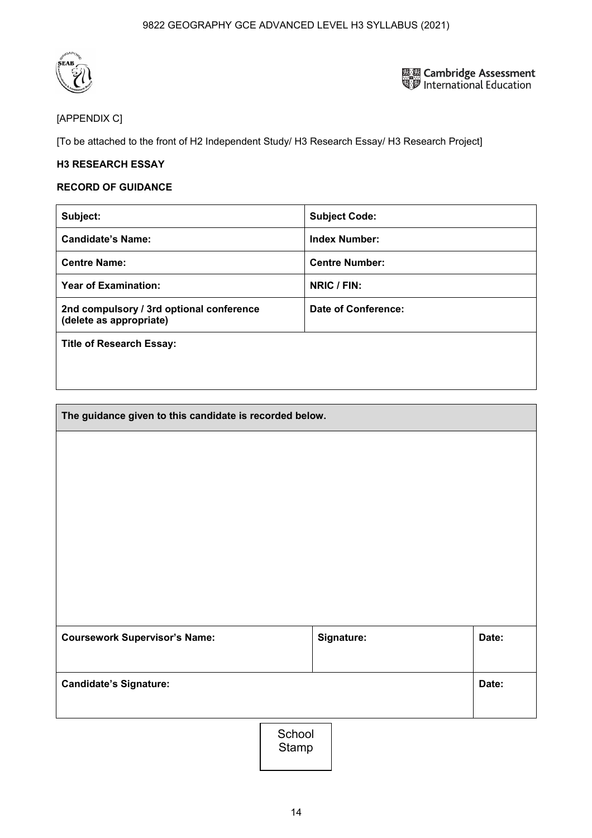

**ELE Cambridge Assessment**<br>Signal International Education

### [APPENDIX C]

[To be attached to the front of H2 Independent Study/ H3 Research Essay/ H3 Research Project]

### **H3 RESEARCH ESSAY**

#### **RECORD OF GUIDANCE**

| Subject:                                                            | <b>Subject Code:</b>       |
|---------------------------------------------------------------------|----------------------------|
| <b>Candidate's Name:</b>                                            | <b>Index Number:</b>       |
| <b>Centre Name:</b>                                                 | <b>Centre Number:</b>      |
| <b>Year of Examination:</b>                                         | NRIC / FIN:                |
| 2nd compulsory / 3rd optional conference<br>(delete as appropriate) | <b>Date of Conference:</b> |
| <b>Title of Research Essay:</b>                                     |                            |
|                                                                     |                            |

| The guidance given to this candidate is recorded below. |            |       |
|---------------------------------------------------------|------------|-------|
|                                                         |            |       |
|                                                         |            |       |
|                                                         |            |       |
|                                                         |            |       |
|                                                         |            |       |
|                                                         |            |       |
|                                                         |            |       |
| <b>Coursework Supervisor's Name:</b>                    | Signature: | Date: |
|                                                         |            |       |
| <b>Candidate's Signature:</b>                           |            | Date: |
|                                                         |            |       |

School Stamp